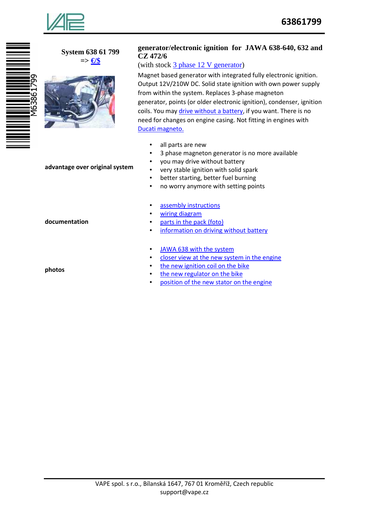

## **System 638 61 799 => €/\$**



#### **advantage over original system**

**documentation** 

**photos**

## **generator/electronic ignition for JAWA 638-640, 632 and CZ 472/6**

# (with stock 3 phase 12 V generator)

Magnet based generator with integrated fully electronic ignition. Output 12V/210W DC. Solid state ignition with own power supply from within the system. Replaces 3-phase magneton generator, points (or older electronic ignition), condenser, ignition coils. You may drive without a battery, if you want. There is no need for changes on engine casing. Not fitting in engines with Ducati magneto.

- all parts are new
- 3 phase magneton generator is no more available
- you may drive without battery
- very stable ignition with solid spark
- better starting, better fuel burning
- no worry anymore with setting points
- assembly instructions
- wiring diagram
- parts in the pack (foto)
- information on driving without battery
- JAWA 638 with the system
- closer view at the new system in the engine
- the new ignition coil on the bike
- the new regulator on the bike
- position of the new stator on the engine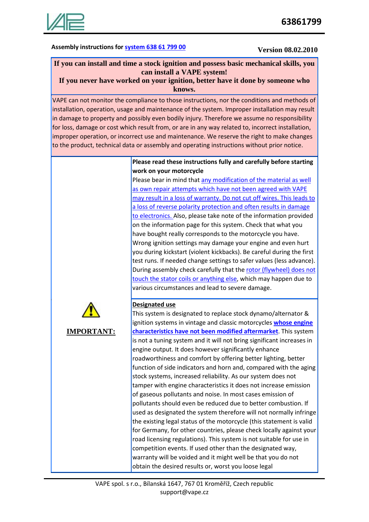

# Assembly instructions for **system 638 61 799 00** Version 08.02.2010

# **If you can install and time a stock ignition and possess basic mechanical skills, you can install a VAPE system!**

## **If you never have worked on your ignition, better have it done by someone who knows.**

VAPE can not monitor the compliance to those instructions, nor the conditions and methods of installation, operation, usage and maintenance of the system. Improper installation may result in damage to property and possibly even bodily injury. Therefore we assume no responsibility for loss, damage or cost which result from, or are in any way related to, incorrect installation, improper operation, or incorrect use and maintenance. We reserve the right to make changes to the product, technical data or assembly and operating instructions without prior notice.

## **Please read these instructions fully and carefully before starting work on your motorcycle**

Please bear in mind that any modification of the material as well as own repair attempts which have not been agreed with VAPE may result in a loss of warranty. Do not cut off wires. This leads to a loss of reverse polarity protection and often results in damage to electronics. Also, please take note of the information provided on the information page for this system. Check that what you have bought really corresponds to the motorcycle you have. Wrong ignition settings may damage your engine and even hurt you during kickstart (violent kickbacks). Be careful during the first test runs. If needed change settings to safer values (less advance). During assembly check carefully that the rotor (flywheel) does not touch the stator coils or anything else, which may happen due to various circumstances and lead to severe damage.



**IMPORTANT:**

## **Designated use**

This system is designated to replace stock dynamo/alternator & ignition systems in vintage and classic motorcycles **whose engine characteristics have not been modified aftermarket**. This system is not a tuning system and it will not bring significant increases in engine output. It does however significantly enhance roadworthiness and comfort by offering better lighting, better function of side indicators and horn and, compared with the aging stock systems, increased reliability. As our system does not tamper with engine characteristics it does not increase emission of gaseous pollutants and noise. In most cases emission of pollutants should even be reduced due to better combustion. If used as designated the system therefore will not normally infringe the existing legal status of the motorcycle (this statement is valid for Germany, for other countries, please check locally against your road licensing regulations). This system is not suitable for use in competition events. If used other than the designated way, warranty will be voided and it might well be that you do not obtain the desired results or, worst you loose legal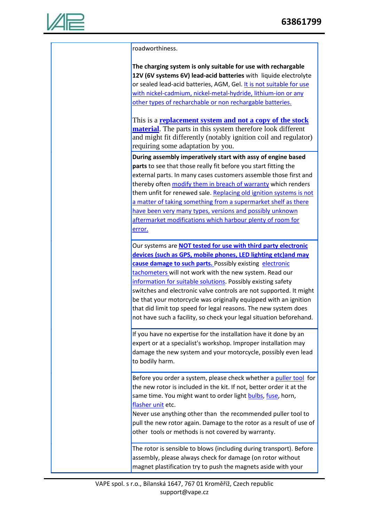

roadworthiness. **The charging system is only suitable for use with rechargable 12V (6V systems 6V) lead-acid batteries** with liquide electrolyte or sealed lead-acid batteries, AGM, Gel. It is not suitable for use with nickel-cadmium, nickel-metal-hydride, lithium-ion or any other types of recharchable or non rechargable batteries. This is a **replacement system and not a copy of the stock material**. The parts in this system therefore look different and might fit differently (notably ignition coil and regulator) requiring some adaptation by you. **During assembly imperatively start with assy of engine based parts** to see that those really fit before you start fitting the external parts. In many cases customers assemble those first and thereby often modify them in breach of warranty which renders them unfit for renewed sale. Replacing old ignition systems is not a matter of taking something from a supermarket shelf as there have been very many types, versions and possibly unknown aftermarket modifications which harbour plenty of room for error. Our systems are **NOT tested for use with third party electronic devices (such as GPS, mobile phones, LED lighting etc)and may cause damage to such parts.** Possibly existing electronic tachometers will not work with the new system. Read our information for suitable solutions. Possibly existing safety switches and electronic valve controls are not supported. It might be that your motorcycle was originally equipped with an ignition that did limit top speed for legal reasons. The new system does not have such a facility, so check your legal situation beforehand. If you have no expertise for the installation have it done by an expert or at a specialist's workshop. Improper installation may damage the new system and your motorcycle, possibly even lead to bodily harm. Before you order a system, please check whether a puller tool for the new rotor is included in the kit. If not, better order it at the same time. You might want to order light bulbs, fuse, horn, flasher unit etc. Never use anything other than the recommended puller tool to pull the new rotor again. Damage to the rotor as a result of use of other tools or methods is not covered by warranty. The rotor is sensible to blows (including during transport). Before assembly, please always check for damage (on rotor without magnet plastification try to push the magnets aside with your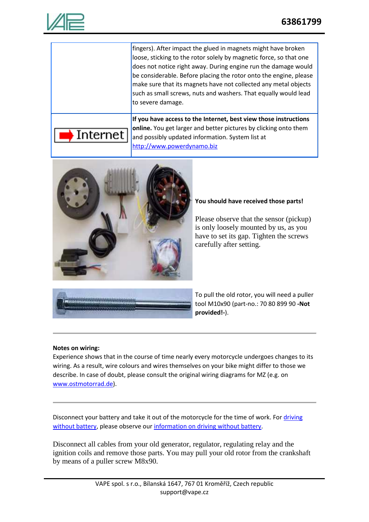

|          | fingers). After impact the glued in magnets might have broken      |
|----------|--------------------------------------------------------------------|
|          | loose, sticking to the rotor solely by magnetic force, so that one |
|          | does not notice right away. During engine run the damage would     |
|          | be considerable. Before placing the rotor onto the engine, please  |
|          | make sure that its magnets have not collected any metal objects    |
|          | such as small screws, nuts and washers. That equally would lead    |
|          | to severe damage.                                                  |
|          |                                                                    |
|          | If you have access to the Internet, best view those instructions   |
|          | online. You get larger and better pictures by clicking onto them   |
| Internet | and possibly updated information. System list at                   |
|          | http://www.powerdynamo.biz                                         |



#### **You should have received those parts!**

Please observe that the sensor (pickup) is only loosely mounted by us, as you have to set its gap. Tighten the screws carefully after setting.



To pull the old rotor, you will need a puller tool M10x90 (part-no.: 70 80 899 90 **-Not provided!-**).

## **Notes on wiring:**

Experience shows that in the course of time nearly every motorcycle undergoes changes to its wiring. As a result, wire colours and wires themselves on your bike might differ to those we describe. In case of doubt, please consult the original wiring diagrams for MZ (e.g. on www.ostmotorrad.de).

Disconnect your battery and take it out of the motorcycle for the time of work. For driving without battery, please observe our information on driving without battery.

Disconnect all cables from your old generator, regulator, regulating relay and the ignition coils and remove those parts. You may pull your old rotor from the crankshaft by means of a puller screw M8x90.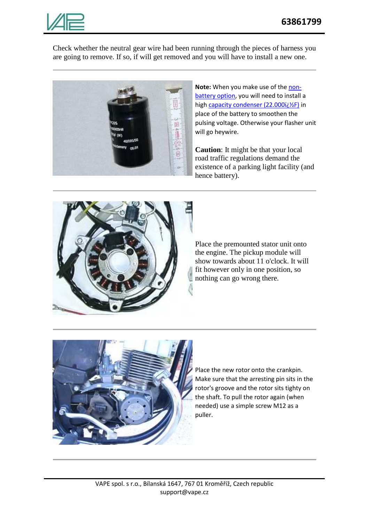

Check whether the neutral gear wire had been running through the pieces of harness you are going to remove. If so, if will get removed and you will have to install a new one.



**Note:** When you make use of the nonbattery option, you will need to install a high capacity condenser (22.000ï - 1/25) in place of the battery to smoothen the pulsing voltage. Otherwise your flasher unit will go heywire.

**Caution**: It might be that your local road traffic regulations demand the existence of a parking light facility (and hence battery).



Place the premounted stator unit onto the engine. The pickup module will show towards about 11 o'clock. It will fit however only in one position, so nothing can go wrong there.



Place the new rotor onto the crankpin. Make sure that the arresting pin sits in the rotor's groove and the rotor sits tighty on the shaft. To pull the rotor again (when needed) use a simple screw M12 as a puller.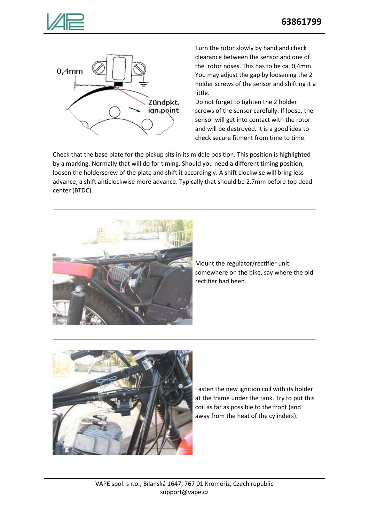



Turn the rotor slowly by hand and check clearance between the sensor and one of the rotor noses. This has to be ca. 0,4mm. You may adjust the gap by loosening the 2 holder screws of the sensor and shifting it a little.

Do not forget to tighten the 2 holder screws of the sensor carefully. If loose, the sensor will get into contact with the rotor and will be destroyed. It is a good idea to check secure fitment from time to time.

Check that the base plate for the pickup sits in its middle position. This position is highlighted by a marking. Normally that will do for timing. Should you need a different timing position, loosen the holderscrew of the plate and shift it accordingly. A shift clockwise will bring less advance, a shift anticlockwise more advance. Typically that should be 2.7mm before top dead center (BTDC)



Mount the regulator/rectifier unit somewhere on the bike, say where the old rectifier had been.



Fasten the new ignition coil with its holder at the frame under the tank. Try to put this coil as far as possible to the front (and away from the heat of the cylinders).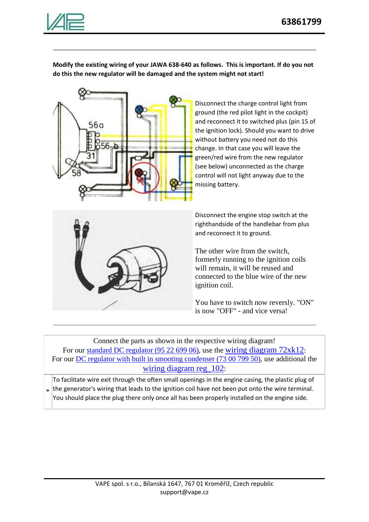

**Modify the existing wiring of your JAWA 638-640 as follows. This is important. If do you not do this the new regulator will be damaged and the system might not start!**



Disconnect the charge control light from ground (the red pilot light in the cockpit) and reconnect it to switched plus (pin 15 of the ignition lock). Should you want to drive without battery you need not do this change. In that case you will leave the green/red wire from the new regulator (see below) unconnected as the charge control will not light anyway due to the missing battery.



Disconnect the engine stop switch at the righthandside of the handlebar from plus and reconnect it to ground.

The other wire from the switch, formerly running to the ignition coils will remain, it will be reused and connected to the blue wire of the new ignition coil.

You have to switch now reversly. "ON" is now "OFF" - and vice versa!

Connect the parts as shown in the respective wiring diagram! For our standard DC regulator (95 22 699 06), use the wiring diagram  $72xk12$ : For our DC regulator with built in smooting condenser (73 00 799 50), use additional the wiring diagram reg 102:

 $*$  the generator's wiring that leads to the ignition coil have not been put onto the wire terminal. To facilitate wire exit through the often small openings in the engine casing, the plastic plug of You should place the plug there only once all has been properly installed on the engine side.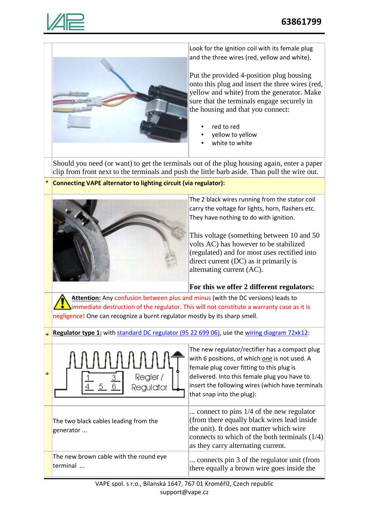

\*

\*

generator ...

terminal ...



Look for the ignition coil with its female plug and the three wires (red, yellow and white).

Put the provided 4-position plug housing onto this plug and insert the three wires (red, yellow and white) from the generator. Make sure that the terminals engage securely in the housing and that you connect:

- red to red
- yellow to yellow
- white to white

Should you need (or want) to get the terminals out of the plug housing again, enter a paper clip from front next to the terminals and push the little barb aside. Than pull the wire out.

# **Connecting VAPE alternator to lighting circuit (via regulator):**



The 2 black wires running from the stator coil carry the voltage for lights, horn, flashers etc. They have nothing to do with ignition.

This voltage (something between 10 and 50 volts AC) has however to be stabilized (regulated) and for most uses rectified into direct current (DC) as it primarily is alternating current (AC).

# **For this we offer 2 different regulators:**

**Attention:** Any confusion between plus and minus (with the DC versions) leads to immediate destruction of the regulator. This will not constitute a warranty case as it is negligence! One can recognize a burnt regulator mostly by its sharp smell.

**Regulator type 1:** with standard DC regulator (95 22 699 06), use the wiring diagram 72xk12:

|                       | N<br>f  |
|-----------------------|---------|
| Regler /<br>Regulator | d<br>ir |

The two black cables leading from the

The new brown cable with the round eye

he new regulator/rectifier has a compact plug with 6 positions, of which *one* is not used. A emale plug cover fitting to this plug is lelivered. Into this female plug you have to nsert the following wires (which have terminals hat snap into the plug):

... connect to pins 1/4 of the new regulator (from there equally black wires lead inside the unit). It does not matter which wire connects to which of the both terminals (1/4) as they carry alternating current.

... connects pin 3 of the regulator unit (from there equally a brown wire goes inside the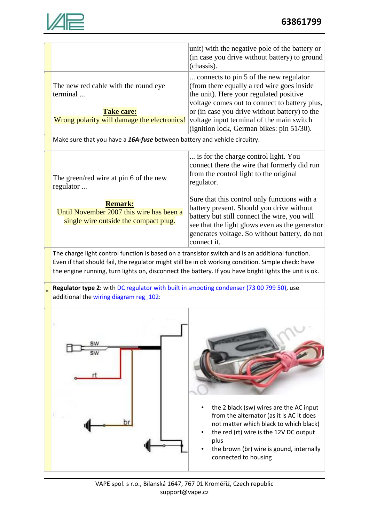

|        |                                                                                                                                                                                                             | unit) with the negative pole of the battery or<br>(in case you drive without battery) to ground<br>(chassis).                                                                                                                                       |  |  |
|--------|-------------------------------------------------------------------------------------------------------------------------------------------------------------------------------------------------------------|-----------------------------------------------------------------------------------------------------------------------------------------------------------------------------------------------------------------------------------------------------|--|--|
|        | The new red cable with the round eye<br>terminal<br><b>Take care:</b>                                                                                                                                       | connects to pin 5 of the new regulator<br>(from there equally a red wire goes inside)<br>the unit). Here your regulated positive<br>voltage comes out to connect to battery plus,<br>or (in case you drive without battery) to the                  |  |  |
|        | Wrong polarity will damage the electronics!                                                                                                                                                                 | voltage input terminal of the main switch<br>(ignition lock, German bikes: pin 51/30).                                                                                                                                                              |  |  |
|        | Make sure that you have a 16A-fuse between battery and vehicle circuitry.                                                                                                                                   |                                                                                                                                                                                                                                                     |  |  |
|        | The green/red wire at pin 6 of the new<br>regulator                                                                                                                                                         | is for the charge control light. You<br>connect there the wire that formerly did run<br>from the control light to the original<br>regulator.                                                                                                        |  |  |
|        |                                                                                                                                                                                                             | Sure that this control only functions with a                                                                                                                                                                                                        |  |  |
|        | <b>Remark:</b><br>Until November 2007 this wire has been a                                                                                                                                                  | battery present. Should you drive without                                                                                                                                                                                                           |  |  |
|        | single wire outside the compact plug.                                                                                                                                                                       | battery but still connect the wire, you will<br>see that the light glows even as the generator<br>generates voltage. So without battery, do not<br>connect it.                                                                                      |  |  |
|        | The charge light control function is based on a transistor switch and is an additional function.                                                                                                            |                                                                                                                                                                                                                                                     |  |  |
|        | Even if that should fail, the regulator might still be in ok working condition. Simple check: have<br>the engine running, turn lights on, disconnect the battery. If you have bright lights the unit is ok. |                                                                                                                                                                                                                                                     |  |  |
| $\ast$ | Regulator type 2: with DC regulator with built in smooting condenser (73 00 799 50), use<br>additional the wiring diagram reg 102:                                                                          |                                                                                                                                                                                                                                                     |  |  |
|        |                                                                                                                                                                                                             |                                                                                                                                                                                                                                                     |  |  |
|        |                                                                                                                                                                                                             | the 2 black (sw) wires are the AC input<br>from the alternator (as it is AC it does<br>not matter which black to which black)<br>the red (rt) wire is the 12V DC output<br>plus<br>the brown (br) wire is gound, internally<br>connected to housing |  |  |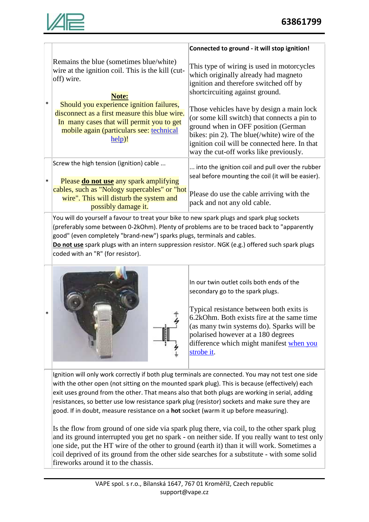

|        |                                                                                                                                                                                              | Connected to ground - it will stop ignition!                                                                                                                                                                                                                               |
|--------|----------------------------------------------------------------------------------------------------------------------------------------------------------------------------------------------|----------------------------------------------------------------------------------------------------------------------------------------------------------------------------------------------------------------------------------------------------------------------------|
| $\ast$ | Remains the blue (sometimes blue/white)<br>wire at the ignition coil. This is the kill (cut-<br>off) wire.<br><b>Note:</b>                                                                   | This type of wiring is used in motorcycles<br>which originally already had magneto<br>ignition and therefore switched off by<br>shortcircuiting against ground.                                                                                                            |
|        | Should you experience ignition failures,<br>disconnect as a first measure this blue wire.<br>In many cases that will permit you to get<br>mobile again (particulars see: technical<br>help)! | Those vehicles have by design a main lock<br>(or some kill switch) that connects a pin to<br>ground when in OFF position (German<br>bikes: pin 2). The blue(/white) wire of the<br>ignition coil will be connected here. In that<br>way the cut-off works like previously. |
| $\ast$ | Screw the high tension (ignition) cable                                                                                                                                                      | into the ignition coil and pull over the rubber<br>seal before mounting the coil (it will be easier).                                                                                                                                                                      |
|        | Please <b>do not use</b> any spark amplifying<br>cables, such as "Nology supercables" or "hot"<br>wire". This will disturb the system and<br>possibly damage it.                             | Please do use the cable arriving with the<br>pack and not any old cable.                                                                                                                                                                                                   |
|        | You will do yourself a favour to treat your bike to new spark plugs and spark plug sockets                                                                                                   |                                                                                                                                                                                                                                                                            |

(preferably some between 0-2kOhm). Plenty of problems are to be traced back to "apparently good" (even completely "brand-new") sparks plugs, terminals and cables.

**Do not use** spark plugs with an intern suppression resistor. NGK (e.g.) offered such spark plugs coded with an "R" (for resistor).





In our twin outlet coils both ends of the secondary go to the spark plugs.

Typical resistance between both exits is 6.2kOhm. Both exists fire at the same time (as many twin systems do). Sparks will be polarised however at a 180 degrees difference which might manifest when you strobe it.

Ignition will only work correctly if both plug terminals are connected. You may not test one side with the other open (not sitting on the mounted spark plug). This is because (effectively) each exit uses ground from the other. That means also that both plugs are working in serial, adding resistances, so better use low resistance spark plug (resistor) sockets and make sure they are good. If in doubt, measure resistance on a **hot** socket (warm it up before measuring).

Is the flow from ground of one side via spark plug there, via coil, to the other spark plug and its ground interrupted you get no spark - on neither side. If you really want to test only one side, put the HT wire of the other to ground (earth it) than it will work. Sometimes a coil deprived of its ground from the other side searches for a substitute - with some solid fireworks around it to the chassis.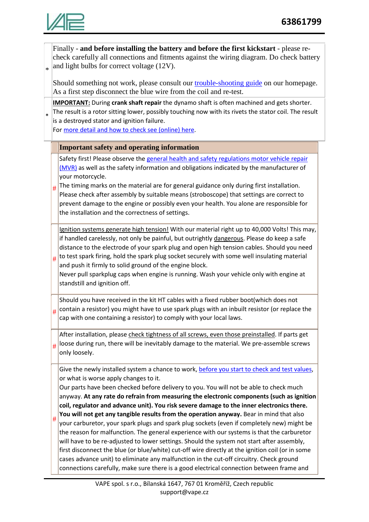

\*

#

Finally - **and before installing the battery and before the first kickstart** - please recheck carefully all connections and fitments against the wiring diagram. Do check battery and light bulbs for correct voltage (12V).

Should something not work, please consult our trouble-shooting guide on our homepage. As a first step disconnect the blue wire from the coil and re-test.

\* **IMPORTANT:** During **crank shaft repair** the dynamo shaft is often machined and gets shorter. The result is a rotor sitting lower, possibly touching now with its rivets the stator coil. The result is a destroyed stator and ignition failure.

For more detail and how to check see (online) here.

## **Important safety and operating information**

Safety first! Please observe the general health and safety regulations motor vehicle repair (MVR) as well as the safety information and obligations indicated by the manufacturer of your motorcycle.

# The timing marks on the material are for general guidance only during first installation. Please check after assembly by suitable means (stroboscope) that settings are correct to prevent damage to the engine or possibly even your health. You alone are responsible for the installation and the correctness of settings.

Ignition systems generate high tension! With our material right up to 40,000 Volts! This may, if handled carelessly, not only be painful, but outrightly dangerous. Please do keep a safe distance to the electrode of your spark plug and open high tension cables. Should you need to test spark firing, hold the spark plug socket securely with some well insulating material

# and push it firmly to solid ground of the engine block. Never pull sparkplug caps when engine is running. Wash your vehicle only with engine at

standstill and ignition off.

# Should you have received in the kit HT cables with a fixed rubber boot(which does not contain a resistor) you might have to use spark plugs with an inbuilt resistor (or replace the cap with one containing a resistor) to comply with your local laws.

# After installation, please check tightness of all screws, even those preinstalled. If parts get loose during run, there will be inevitably damage to the material. We pre-assemble screws only loosely.

Give the newly installed system a chance to work, before you start to check and test values, or what is worse apply changes to it.

Our parts have been checked before delivery to you. You will not be able to check much anyway. **At any rate do refrain from measuring the electronic components (such as ignition coil, regulator and advance unit). You risk severe damage to the inner electronics there. You will not get any tangible results from the operation anyway.** Bear in mind that also your carburetor, your spark plugs and spark plug sockets (even if completely new) might be

the reason for malfunction. The general experience with our systems is that the carburetor will have to be re-adjusted to lower settings. Should the system not start after assembly, first disconnect the blue (or blue/white) cut-off wire directly at the ignition coil (or in some cases advance unit) to eliminate any malfunction in the cut-off circuitry. Check ground connections carefully, make sure there is a good electrical connection between frame and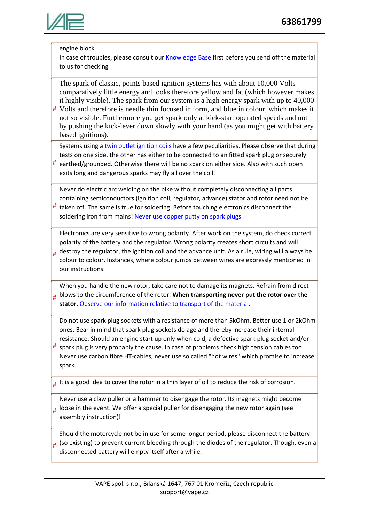

|   | engine block.                                                                                                                                                                  |  |  |  |
|---|--------------------------------------------------------------------------------------------------------------------------------------------------------------------------------|--|--|--|
|   | In case of troubles, please consult our Knowledge Base first before you send off the material                                                                                  |  |  |  |
|   | to us for checking                                                                                                                                                             |  |  |  |
|   |                                                                                                                                                                                |  |  |  |
|   | The spark of classic, points based ignition systems has with about 10,000 Volts                                                                                                |  |  |  |
|   | comparatively little energy and looks therefore yellow and fat (which however makes                                                                                            |  |  |  |
|   | it highly visible). The spark from our system is a high energy spark with up to 40,000                                                                                         |  |  |  |
| # | Volts and therefore is needle thin focused in form, and blue in colour, which makes it<br>not so visible. Furthermore you get spark only at kick-start operated speeds and not |  |  |  |
|   | by pushing the kick-lever down slowly with your hand (as you might get with battery                                                                                            |  |  |  |
|   | based ignitions).                                                                                                                                                              |  |  |  |
|   | Systems using a twin outlet ignition coils have a few peculiarities. Please observe that during                                                                                |  |  |  |
|   | tests on one side, the other has either to be connected to an fitted spark plug or securely                                                                                    |  |  |  |
| # | earthed/grounded. Otherwise there will be no spark on either side. Also with such open                                                                                         |  |  |  |
|   | exits long and dangerous sparks may fly all over the coil.                                                                                                                     |  |  |  |
|   |                                                                                                                                                                                |  |  |  |
|   | Never do electric arc welding on the bike without completely disconnecting all parts                                                                                           |  |  |  |
|   | containing semiconductors (ignition coil, regulator, advance) stator and rotor need not be                                                                                     |  |  |  |
| # | taken off. The same is true for soldering. Before touching electronics disconnect the                                                                                          |  |  |  |
|   | soldering iron from mains! Never use copper putty on spark plugs.                                                                                                              |  |  |  |
|   | Electronics are very sensitive to wrong polarity. After work on the system, do check correct                                                                                   |  |  |  |
|   | polarity of the battery and the regulator. Wrong polarity creates short circuits and will                                                                                      |  |  |  |
|   | destroy the regulator, the ignition coil and the advance unit. As a rule, wiring will always be                                                                                |  |  |  |
| # | colour to colour. Instances, where colour jumps between wires are expressly mentioned in                                                                                       |  |  |  |
|   | our instructions.                                                                                                                                                              |  |  |  |
|   |                                                                                                                                                                                |  |  |  |
|   | When you handle the new rotor, take care not to damage its magnets. Refrain from direct                                                                                        |  |  |  |
| # | blows to the circumference of the rotor. When transporting never put the rotor over the                                                                                        |  |  |  |
|   | stator. Observe our information relative to transport of the material.                                                                                                         |  |  |  |
|   | Do not use spark plug sockets with a resistance of more than 5kOhm. Better use 1 or 2kOhm                                                                                      |  |  |  |
|   | ones. Bear in mind that spark plug sockets do age and thereby increase their internal                                                                                          |  |  |  |
|   | resistance. Should an engine start up only when cold, a defective spark plug socket and/or                                                                                     |  |  |  |
| # | spark plug is very probably the cause. In case of problems check high tension cables too.                                                                                      |  |  |  |
|   | Never use carbon fibre HT-cables, never use so called "hot wires" which promise to increase                                                                                    |  |  |  |
|   | spark.                                                                                                                                                                         |  |  |  |
|   |                                                                                                                                                                                |  |  |  |
| # | It is a good idea to cover the rotor in a thin layer of oil to reduce the risk of corrosion.                                                                                   |  |  |  |
| # | Never use a claw puller or a hammer to disengage the rotor. Its magnets might become                                                                                           |  |  |  |
|   | loose in the event. We offer a special puller for disengaging the new rotor again (see                                                                                         |  |  |  |
|   | assembly instruction)!                                                                                                                                                         |  |  |  |
|   | Should the motorcycle not be in use for some longer period, please disconnect the battery                                                                                      |  |  |  |
|   | (so existing) to prevent current bleeding through the diodes of the regulator. Though, even a                                                                                  |  |  |  |
| # | disconnected battery will empty itself after a while.                                                                                                                          |  |  |  |
|   |                                                                                                                                                                                |  |  |  |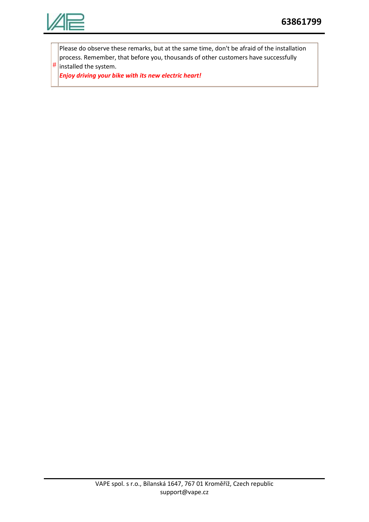

#

Please do observe these remarks, but at the same time, don't be afraid of the installation process. Remember, that before you, thousands of other customers have successfully installed the system.

*Enjoy driving your bike with its new electric heart!*